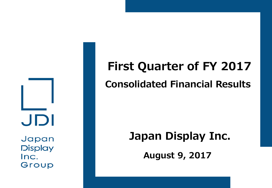JDI Japan

**Display** Inc. Group

# **First Quarter of FY 2017 Consolidated Financial Results**

## **Japan Display Inc.**

**August 9, 2017**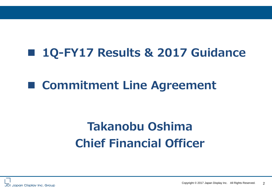## **1Q-FY17 Results & 2017 Guidance**

## **Commitment Line Agreement**

## **Takanobu Oshima Chief Financial Officer**

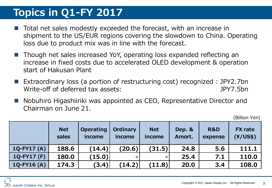#### **Topics in Q1-FY 2017**

- Total net sales modestly exceeded the forecast, with an increase in shipment to the US/EUR regions covering the slowdown to China. Operating loss due to product mix was in line with the forecast.
- Though net sales increased YoY, operating loss expanded reflecting an increase in fixed costs due to accelerated OLED development & operation start of Hakusan Plant
- Extraordinary loss (a portion of restructuring cost) recognized : JPY2.7bn Write-off of deferred tax assets: JPY7.5bn
- Nobuhiro Higashiiriki was appointed as CEO, Representative Director and Chairman on June 21.

(Billion Yen)

|              | <b>Net</b><br>sales | <b>Operating</b><br>income | <b>Ordinary</b><br>income | <b>Net</b><br>income         | Dep. &<br>Amort. | <b>R&amp;D</b><br>expense | <b>FX</b> rate<br>(Y/US\$) |
|--------------|---------------------|----------------------------|---------------------------|------------------------------|------------------|---------------------------|----------------------------|
| $1Q-FY17(A)$ | 188.6               | (14.4)                     | (20.6)                    | (31.5)                       | 24.8             | 5.6                       | 111.1                      |
| $1Q-FY17(F)$ | 180.0               | (15.0)                     |                           | $\qquad \qquad \blacksquare$ | 25.4             | 7.1                       | 110.0                      |
| $1Q-FY16(A)$ | 174.3               | (3.4)                      | (14.2)'                   | (11.8)                       | 20.0             | 3.4                       | 108.0                      |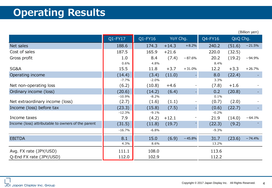### **Operating Results**

|                                                    |          |         |          |          |         |          | (Billion yen) |
|----------------------------------------------------|----------|---------|----------|----------|---------|----------|---------------|
|                                                    | Q1-FY17  | Q1-FY16 | YoY Chg. |          | Q4-FY16 | QoQ Chg. |               |
| Net sales                                          | 188.6    | 174.3   | $+14.3$  | $+8.2%$  | 240.2   | (51.6)   | $-21.5%$      |
| Cost of sales                                      | 187.5    | 165.9   | $+21.6$  |          | 220.0   | (32.5)   |               |
| Gross profit                                       | 1.0      | 8.4     | (7.4)    | $-87.6%$ | 20.2    | (19.2)   | $-94.9%$      |
|                                                    | 0.6%     | 4.8%    |          |          | 8.4%    |          |               |
| SG&A                                               | 15.5     | 11.8    | $+3.7$   | $+31.0%$ | 12.2    | $+3.3$   | $+26.7%$      |
| Operating income                                   | (14.4)   | (3.4)   | (11.0)   |          | 8.0     | (22.4)   |               |
|                                                    | $-7.7%$  | $-2.0%$ |          |          | 3.3%    |          |               |
| Net non-operating loss                             | (6.2)    | (10.8)  | $+4.6$   |          | (7.8)   | $+1.6$   |               |
| Ordinary income (loss)                             | (20.6)   | (14.2)  | (6.4)    |          | 0.2     | (20.8)   |               |
|                                                    | $-10.9%$ | $-8.2%$ |          |          | 0.1%    |          |               |
| Net extraordinary income (loss)                    | (2.7)    | (1.6)   | (1.1)    |          | (0.7)   | (2.0)    |               |
| Income (loss) before tax                           | (23.3)   | (15.8)  | (7.5)    |          | (0.6)   | (22.7)   |               |
|                                                    | $-12.3%$ | $-9.1%$ |          |          | $-0.2%$ |          |               |
| Income taxes                                       | 7.9      | (4.2)   | $+12.1$  |          | 21.9    | (14.0)   | $-64.1%$      |
| Income (loss) attributable to owners of the parent | (31.5)   | (11.8)  | (19.7)   |          | (22.3)  | (9.2)    |               |
|                                                    | $-16.7%$ | $-6.8%$ |          |          | $-9.3%$ |          |               |
| <b>EBITDA</b>                                      | 8.1      | 15.0    | (6.9)    | $-45.8%$ | 31.7    | (23.6)   | $-74.4%$      |
|                                                    | 4.3%     | 8.6%    |          |          | 13.2%   |          |               |
| Avg. FX rate (JPY/USD)                             | 111.1    | 108.0   |          |          | 113.6   |          |               |
| Q-End FX rate (JPY/USD)                            | 112.0    | 102.9   |          |          | 112.2   |          |               |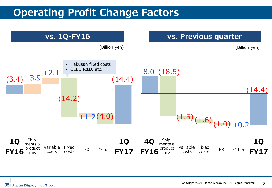#### **Operating Profit Change Factors**

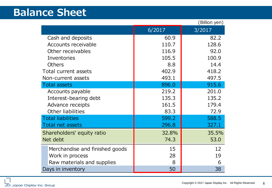#### **Balance Sheet**

|                                |        | (Billion yen) |
|--------------------------------|--------|---------------|
|                                | 6/2017 | 3/2017        |
| Cash and deposits              | 60.9   | 82.2          |
| <b>Accounts receivable</b>     | 110.7  | 128.6         |
| Other receivables              | 116.9  | 92.0          |
| Inventories                    | 105.5  | 100.9         |
| <b>Others</b>                  | 8.8    | 14.4          |
| Total current assets           | 402.9  | 418.2         |
| Non-current assets             | 493.1  | 497.5         |
| <b>Total assets</b>            | 896.0  | 915.6         |
| Accounts payable               | 219.2  | 201.0         |
| Interest-bearing debt          | 135.3  | 135.2         |
| Advance receipts               | 161.5  | 179.4         |
| Other liabilities              | 83.3   | 72.9          |
| <b>Total liabilities</b>       | 599.2  | 588.5         |
| Total net assets               | 296.8  | 327.1         |
| Shareholders' equity ratio     | 32.8%  | 35.5%         |
| Net debt                       | 74.3   | 53.0          |
| Merchandise and finished goods | 15     | 12            |
| Work in process                | 28     | 19            |
| Raw materials and supplies     | 8      | 6             |
| Days in inventory              | 50     | 38            |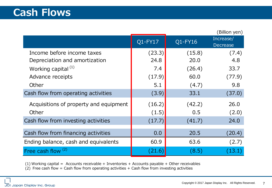|                                        |                      |         | (Billion yen)                |
|----------------------------------------|----------------------|---------|------------------------------|
|                                        | Q1-FY17              | Q1-FY16 | Increase/<br><b>Decrease</b> |
| Income before income taxes             | (23.3)               | (15.8)  | (7.4)                        |
| Depreciation and amortization          | 24.8                 | 20.0    | 4.8                          |
| Working capital $(1)$                  | 7.4                  | (26.4)  | 33.7                         |
| Advance receipts                       | (17.9)               | 60.0    | (77.9)                       |
| Other                                  | 5.1                  | (4.7)   | 9.8                          |
| Cash flow from operating activities    | (3.9)                | 33.1    | (37.0)                       |
| Acquisitions of property and equipment | (16.2)               | (42.2)  | 26.0                         |
| Other                                  | (1.5)                | 0.5     | (2.0)                        |
| Cash flow from investing activities    | (17.7)               | (41.7)  | 24.0                         |
| Cash flow from financing activities    | 0.0                  | 20.5    | (20.4)                       |
| Ending balance, cash and equivalents   | 60.9                 | 63.6    | (2.7)                        |
| Free cash flow <sup>(2)</sup>          | $\left( 21.6\right)$ | (8.5)   | <b>43.1</b>                  |

(1) Working capital = Accounts receivable + Inventories + Accounts payable + Other receivables

 $(2)$  Free cash flow = Cash flow from operating activities + Cash flow from investing activities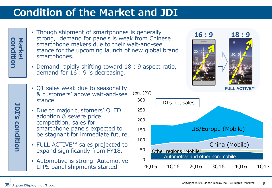#### **Condition of the Market and JDI**

**condition Market** condition

**JDI's**

**condition**

condition

- Though shipment of smartphones is generally strong, demand for panels is weak from Chinese smartphone makers due to their wait-and-see stance for the upcoming launch of new global brand smartphones.
- Demand rapidly shifting toward 18 : 9 aspect ratio, demand for 16 : 9 is decreasing.
- Q1 sales weak due to seasonality & customers' above wait-and-see stance.
- Due to major customers' OLED adoption & severe price competition, sales for smartphone panels expected to be stagnant for immediate future.
- FULL ACTIVE™ sales projected to expand significantly from FY18.
- Automotive is strong. Automotive LTPS panel shipments started.



4Q15 1Q16 2Q16 3Q16 4Q16 1Q17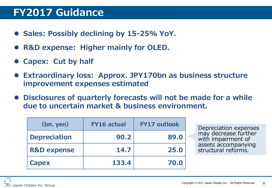#### **FY2017 Guidance**

- **Sales: Possibly declining by 15-25% YoY.**
- **R&D expense: Higher mainly for OLED.**
- **Capex: Cut by half**
- **Extraordinary loss: Approx. JPY170bn as business structure improvement expenses estimated**
- **Disclosures of quarterly forecasts will not be made for a while due to uncertain market & business environment.**

| $(bn.$ yen)            | <b>FY16 actual</b> | <b>FY17 outlook</b> |
|------------------------|--------------------|---------------------|
| <b>Depreciation</b>    | 90.2               | 89.0                |
| <b>R&amp;D expense</b> | 14.7               | 25.0                |
| <b>Capex</b>           | 133.4              | 70.0                |

Depreciation expenses may decrease further with impairment of assets accompanying structural reforms.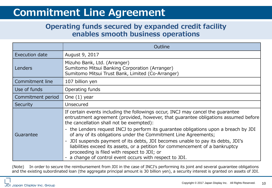#### **Commitment Line Agreement**

#### **Operating funds secured by expanded credit facility enables smooth business operations**

|                   | <b>Outline</b>                                                                                                                                                                                                                                                                    |
|-------------------|-----------------------------------------------------------------------------------------------------------------------------------------------------------------------------------------------------------------------------------------------------------------------------------|
| Execution date    | August 9, 2017                                                                                                                                                                                                                                                                    |
| Lenders           | Mizuho Bank, Ltd. (Arranger)<br>Sumitomo Mitsui Banking Corporation (Arranger)<br>Sumitomo Mitsui Trust Bank, Limited (Co-Arranger)                                                                                                                                               |
| Commitment line   | 107 billion yen                                                                                                                                                                                                                                                                   |
| Use of funds      | Operating funds                                                                                                                                                                                                                                                                   |
| Commitment period | One $(1)$ year                                                                                                                                                                                                                                                                    |
| Security          | Unsecured                                                                                                                                                                                                                                                                         |
|                   | If certain events including the followings occur, INCJ may cancel the guarantee<br>entrustment agreement (provided, however, that guarantee obligations assumed before<br>the cancellation shall not be exempted):                                                                |
| Guarantee         | - the Lenders request INCJ to perform its guarantee obligations upon a breach by JDI<br>of any of its obligations under the Commitment Line Agreements;                                                                                                                           |
|                   | JDI suspends payment of its debts, JDI becomes unable to pay its debts, JDI's<br>$ \,$<br>liabilities exceed its assets, or a petition for commencement of a bankruptcy<br>proceeding is filed with respect to JDI; or<br>- a change of control event occurs with respect to JDI. |

(Note) In order to secure the reimbursement from JDI in the case of INCJ's performing its joint and several guarantee obligations and the existing subordinated loan (the aggregate principal amount is 30 billion yen), a security interest is granted on assets of JDI.